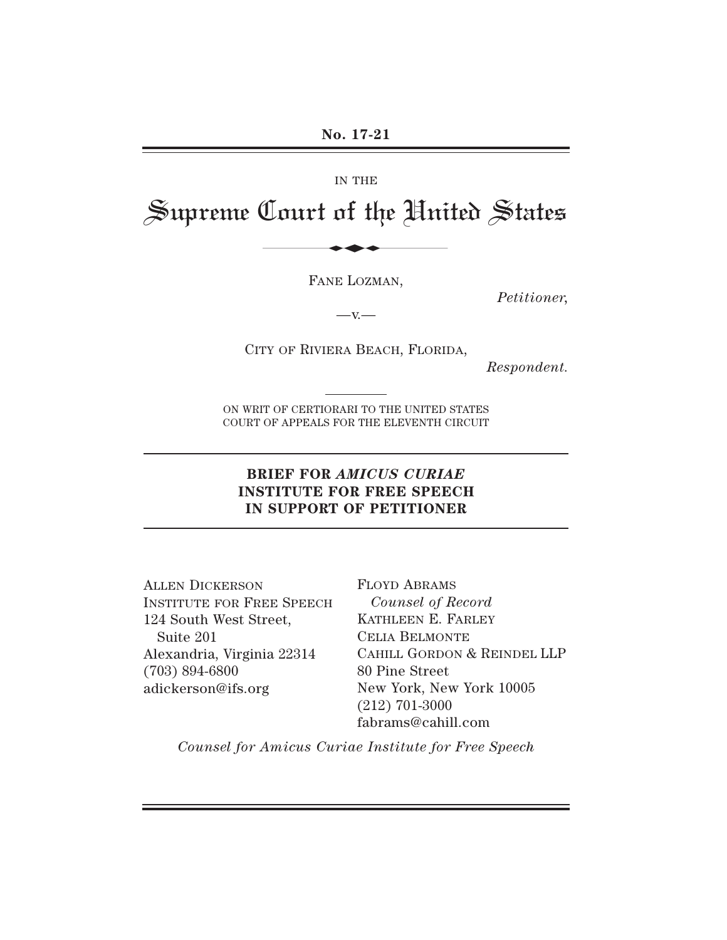#### IN THE

# Supreme Court of the United States IN THE<br>Court of the Hni

FANE LOZMAN,

*Petitioner,*

 $-x -$ 

CITY OF RIVIERA BEACH, FLORIDA,

*Respondent.*

ON WRIT OF CERTIORARI TO THE UNITED STATES COURT OF APPEALS FOR THE ELEVENTH CIRCUIT

# **BRIEF FOR** *AMICUS CURIAE* **INSTITUTE FOR FREE SPEECH IN SUPPORT OF PETITIONER**

ALLEN DICKERSON INSTITUTE FOR FREE SPEECH 124 South West Street, Suite 201 Alexandria, Virginia 22314 (703) 894-6800 adickerson@ifs.org

FLOYD ABRAMS *Counsel of Record* KATHLEEN E. FARLEY CELIA BELMONTE CAHILL GORDON & REINDEL LLP 80 Pine Street New York, New York 10005 (212) 701-3000 fabrams@cahill.com

*Counsel for Amicus Curiae Institute for Free Speech*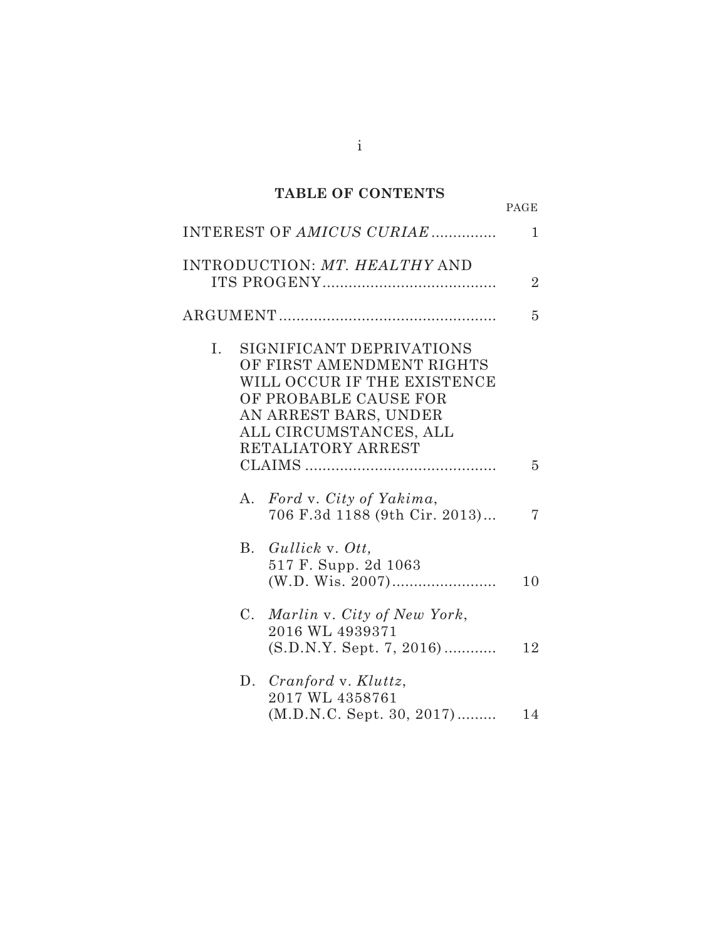# **TABLE OF CONTENTS**

| ٧ |  |
|---|--|
|   |  |

|                | INTEREST OF AMICUS CURIAE                                                                                                                                                              | $\mathbf{1}$   |
|----------------|----------------------------------------------------------------------------------------------------------------------------------------------------------------------------------------|----------------|
|                | <b>INTRODUCTION: MT. HEALTHY AND</b>                                                                                                                                                   | $\overline{2}$ |
|                |                                                                                                                                                                                        | 5              |
| $\mathbf{I}$ . | SIGNIFICANT DEPRIVATIONS<br>OF FIRST AMENDMENT RIGHTS<br>WILL OCCUR IF THE EXISTENCE<br>OF PROBABLE CAUSE FOR<br>AN ARREST BARS, UNDER<br>ALL CIRCUMSTANCES, ALL<br>RETALIATORY ARREST |                |
|                |                                                                                                                                                                                        | 5              |
| А.             | Ford v. City of Yakima,<br>706 F.3d 1188 (9th Cir. 2013)                                                                                                                               | 7              |
| В.             | Gullick v. Ott,<br>517 F. Supp. 2d 1063                                                                                                                                                | 10             |
| $C_{\cdot}$    | Marlin v. City of New York,<br>2016 WL 4939371<br>$(S.D.N.Y. Sept. 7, 2016)$                                                                                                           | 12             |
|                | D. Cranford v. Kluttz,<br>2017 WL 4358761<br>(M.D.N.C. Sept. 30, 2017)                                                                                                                 | 14             |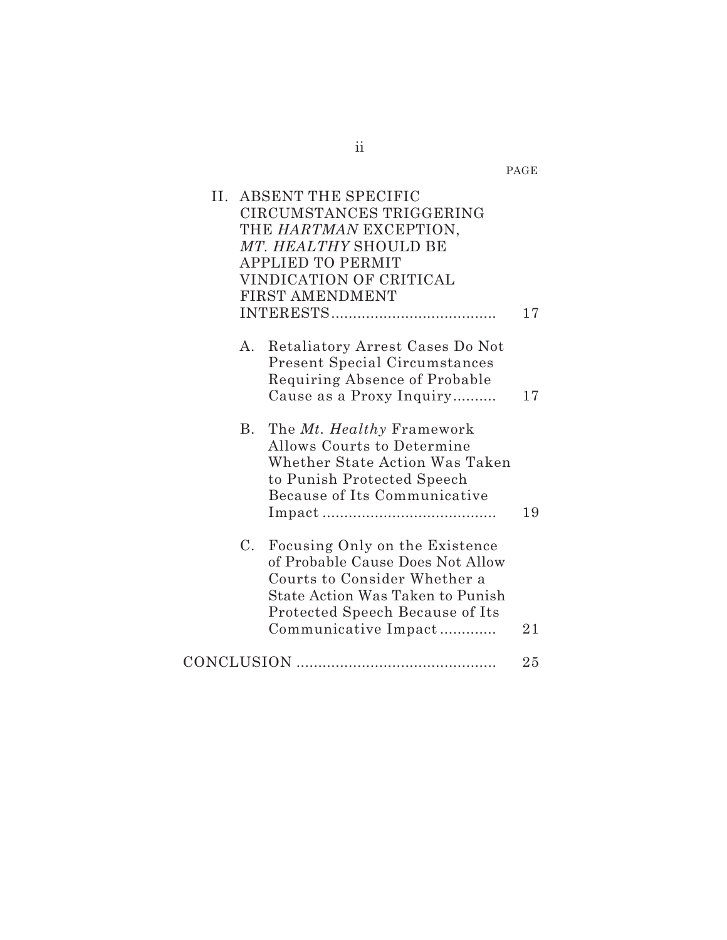PAGE

| II. ABSENT THE SPECIFIC<br>CIRCUMSTANCES TRIGGERING<br>THE HARTMAN EXCEPTION,<br>MT. HEALTHY SHOULD BE<br><b>APPLIED TO PERMIT</b><br>VINDICATION OF CRITICAL<br><b>FIRST AMENDMENT</b>                 | 17 |
|---------------------------------------------------------------------------------------------------------------------------------------------------------------------------------------------------------|----|
| А.<br>Retaliatory Arrest Cases Do Not<br><b>Present Special Circumstances</b><br>Requiring Absence of Probable<br>Cause as a Proxy Inquiry                                                              | 17 |
| The Mt. Healthy Framework<br>В.<br>Allows Courts to Determine<br>Whether State Action Was Taken<br>to Punish Protected Speech<br>Because of Its Communicative                                           | 19 |
| Focusing Only on the Existence<br>C.<br>of Probable Cause Does Not Allow<br>Courts to Consider Whether a<br>State Action Was Taken to Punish<br>Protected Speech Because of Its<br>Communicative Impact | 21 |
|                                                                                                                                                                                                         | 25 |

ii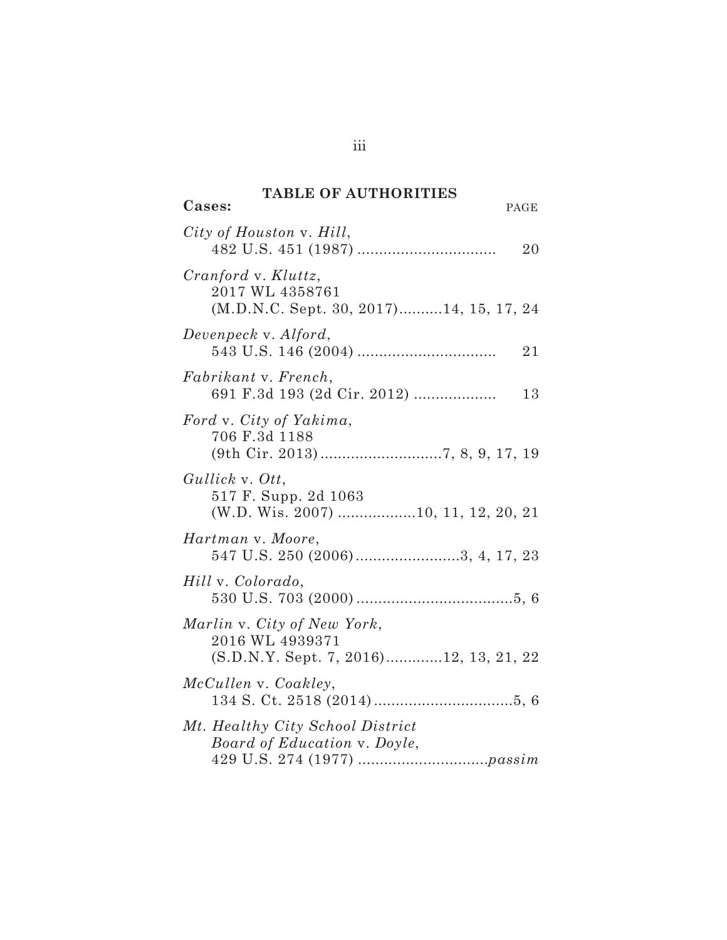# **TABLE OF AUTHORITIES**

 $\overline{\text{Cases}}$ :

| City of Houston v. Hill,                                                                 | 20 |
|------------------------------------------------------------------------------------------|----|
| $Cranford$ v. $Kluttz$ ,<br>2017 WL 4358761<br>(M.D.N.C. Sept. 30, 2017)14, 15, 17, 24   |    |
| Devenpeck v. Alford,                                                                     | 21 |
| Fabrikant v. French,<br>691 F.3d 193 (2d Cir. 2012)                                      | 13 |
| Ford v. City of Yakima,<br>706 F.3d 1188                                                 |    |
| Gullick v. Ott,<br>517 F. Supp. 2d 1063<br>(W.D. Wis. 2007) 10, 11, 12, 20, 21           |    |
| Hartman v. Moore,<br>547 U.S. 250 (2006)3, 4, 17, 23                                     |    |
| Hill v. Colorado,                                                                        |    |
| Marlin v. City of New York,<br>2016 WL 4939371<br>(S.D.N.Y. Sept. 7, 2016)12, 13, 21, 22 |    |
| McCullen v. Coakley,                                                                     |    |
| Mt. Healthy City School District<br>Board of Education v. Doyle,                         |    |

iii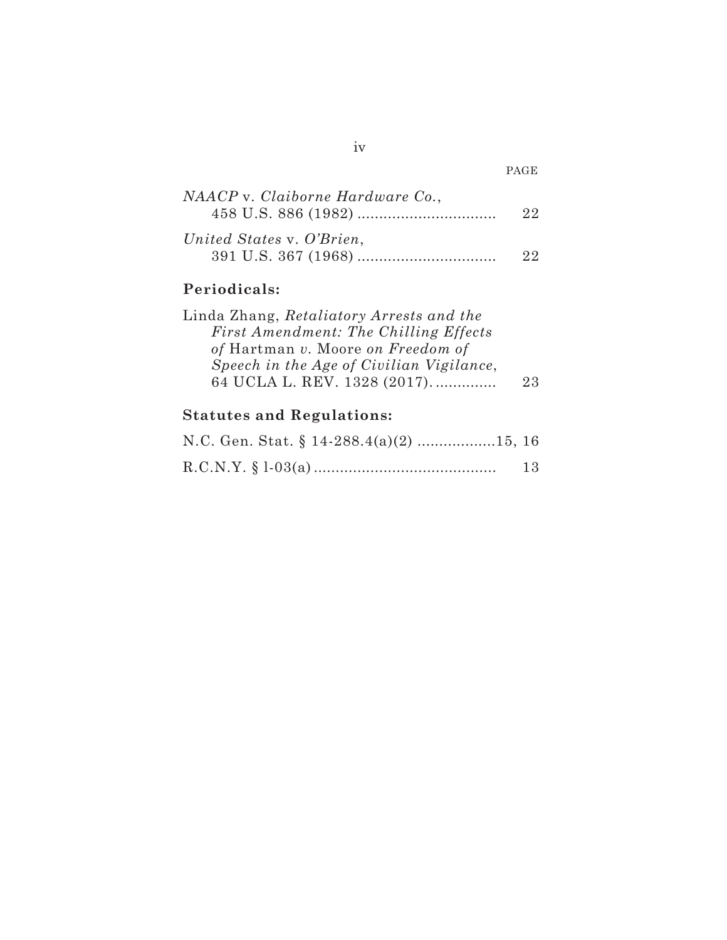| NAACP v. Claiborne Hardware Co., | 22 |
|----------------------------------|----|
| United States v. O'Brien,        | 22 |

# **Periodicals:**

| Linda Zhang, Retaliatory Arrests and the |     |
|------------------------------------------|-----|
| First Amendment: The Chilling Effects    |     |
| of Hartman v. Moore on Freedom of        |     |
| Speech in the Age of Civilian Vigilance, |     |
| 64 UCLA L. REV. 1328 (2017).             | 23. |

# **Statutes and Regulations:**

| N.C. Gen. Stat. § 14-288.4(a)(2) 15, 16 |    |
|-----------------------------------------|----|
|                                         | 13 |

PAGE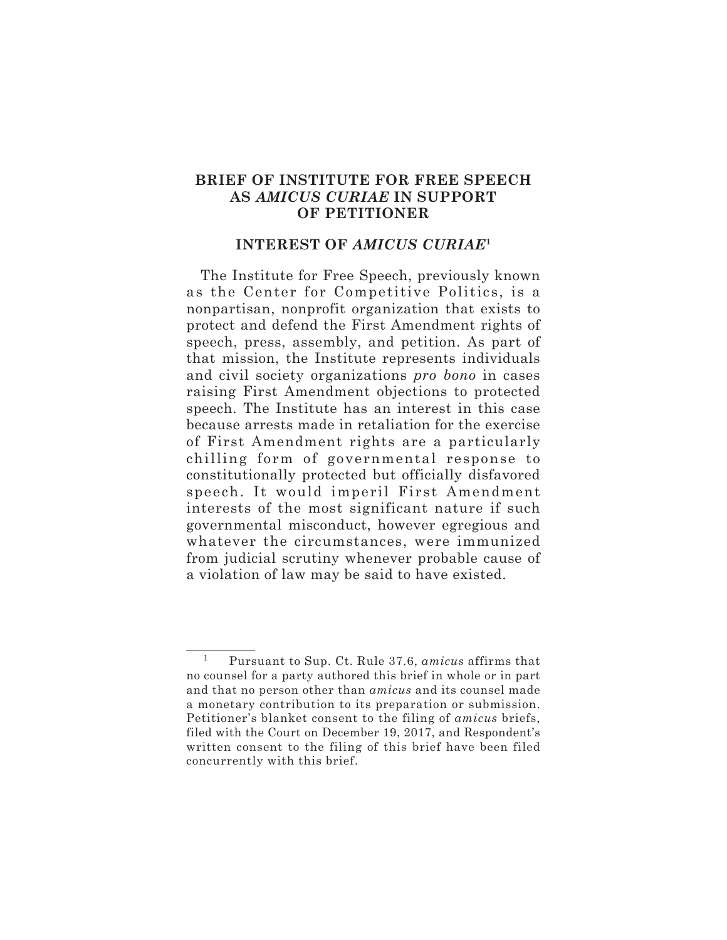## **BRIEF OF INSTITUTE FOR FREE SPEECH AS** *AMICUS CURIAE* **IN SUPPORT OF PETITIONER**

#### **INTEREST OF** *AMICUS CURIAE***<sup>1</sup>**

The Institute for Free Speech, previously known as the Center for Competitive Politics, is a nonpartisan, nonprofit organization that exists to protect and defend the First Amendment rights of speech, press, assembly, and petition. As part of that mission, the Institute represents individuals and civil society organizations *pro bono* in cases raising First Amendment objections to protected speech. The Institute has an interest in this case because arrests made in retaliation for the exercise of First Amendment rights are a particularly chilling form of governmental response to constitutionally protected but officially disfavored speech. It would imperil First Amendment interests of the most significant nature if such governmental misconduct, however egregious and whatever the circumstances, were immunized from judicial scrutiny whenever probable cause of a violation of law may be said to have existed.

<sup>1</sup> Pursuant to Sup. Ct. Rule 37.6, *amicus* affirms that no counsel for a party authored this brief in whole or in part and that no person other than *amicus* and its counsel made a monetary contribution to its preparation or submission. Petitioner's blanket consent to the filing of *amicus* briefs, filed with the Court on December 19, 2017, and Respondent's written consent to the filing of this brief have been filed concurrently with this brief.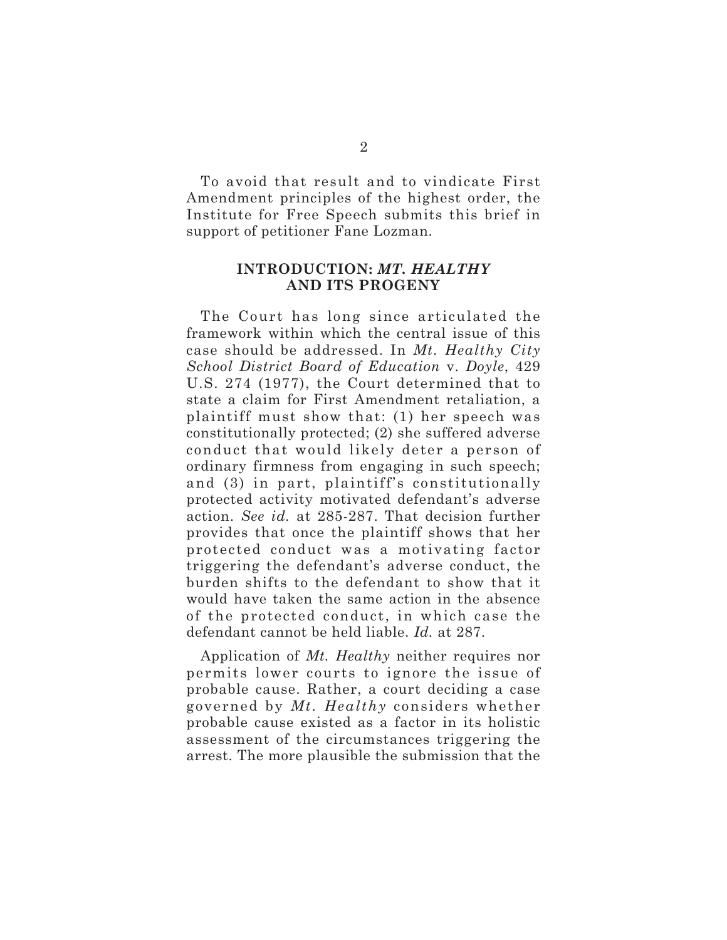To avoid that result and to vindicate First Amendment principles of the highest order, the Institute for Free Speech submits this brief in support of petitioner Fane Lozman.

## **INTRODUCTION:** *MT. HEALTHY* **AND ITS PROGENY**

The Court has long since articulated the framework within which the central issue of this case should be addressed. In *Mt. Healthy City School District Board of Education* v. *Doyle*, 429 U.S. 274 (1977), the Court determined that to state a claim for First Amendment retaliation, a plaintiff must show that: (1) her speech was constitutionally protected; (2) she suffered adverse conduct that would likely deter a person of ordinary firmness from engaging in such speech; and (3) in part, plaintiff's constitutionally protected activity motivated defendant's adverse action. *See id.* at 285-287. That decision further provides that once the plaintiff shows that her protected conduct was a motivating factor triggering the defendant's adverse conduct, the burden shifts to the defendant to show that it would have taken the same action in the absence of the protected conduct, in which case the defendant cannot be held liable. *Id.* at 287.

Application of *Mt. Healthy* neither requires nor permits lower courts to ignore the issue of probable cause. Rather, a court deciding a case governed by *Mt. Healthy* considers whether probable cause existed as a factor in its holistic assessment of the circumstances triggering the arrest. The more plausible the submission that the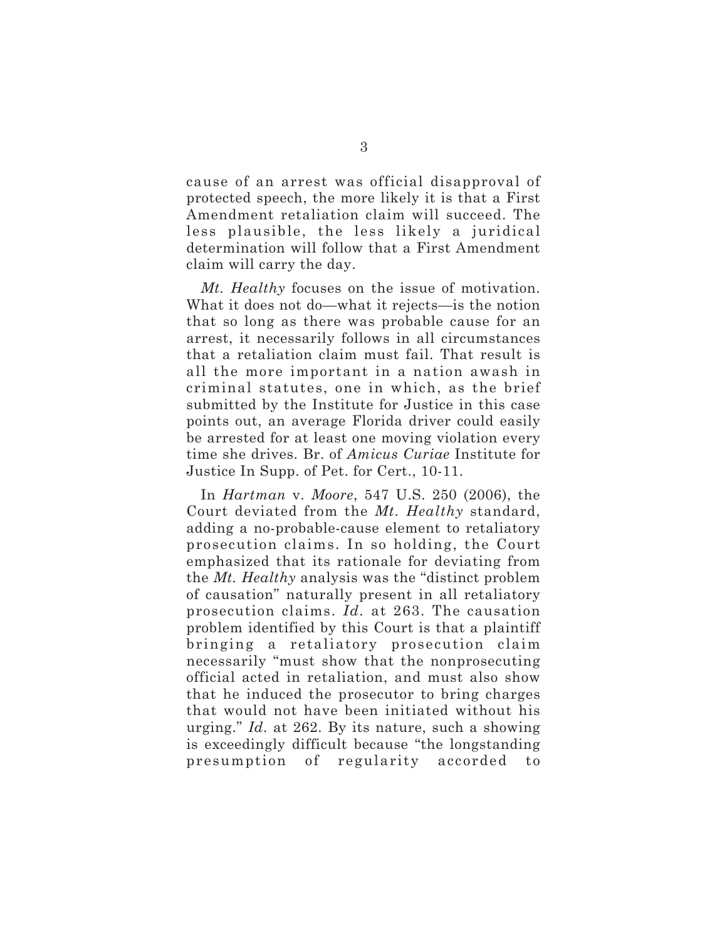cause of an arrest was official disapproval of protected speech, the more likely it is that a First Amendment retaliation claim will succeed. The less plausible, the less likely a juridical determination will follow that a First Amendment claim will carry the day.

*Mt. Healthy* focuses on the issue of motivation. What it does not do—what it rejects—is the notion that so long as there was probable cause for an arrest, it necessarily follows in all circumstances that a retaliation claim must fail. That result is all the more important in a nation awash in criminal statutes, one in which, as the brief submitted by the Institute for Justice in this case points out, an average Florida driver could easily be arrested for at least one moving violation every time she drives. Br. of *Amicus Curiae* Institute for Justice In Supp. of Pet. for Cert., 10-11.

In *Hartman* v. *Moore*, 547 U.S. 250 (2006), the Court deviated from the *Mt. Healthy* standard, adding a no-probable-cause element to retaliatory prosecution claims. In so holding, the Court emphasized that its rationale for deviating from the *Mt. Healthy* analysis was the "distinct problem of causation" naturally present in all retaliatory prosecution claims. *Id.* at 263. The causation problem identified by this Court is that a plaintiff bringing a retaliatory prosecution claim necessarily "must show that the nonprosecuting official acted in retaliation, and must also show that he induced the prosecutor to bring charges that would not have been initiated without his urging." *Id*. at 262. By its nature, such a showing is exceedingly difficult because "the longstanding presumption of regularity accorded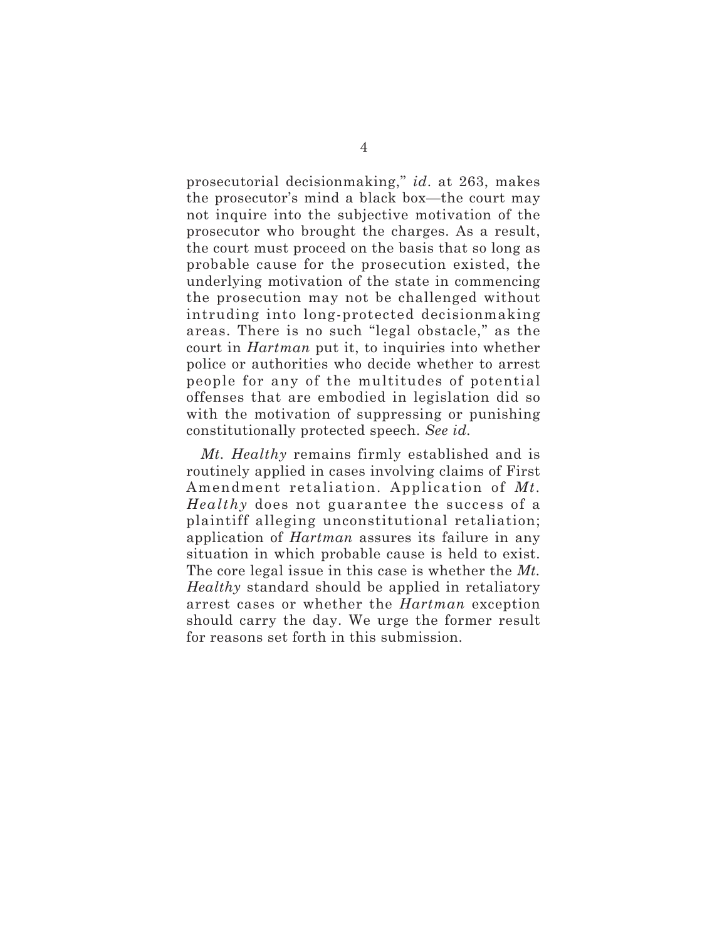prosecutorial decisionmaking," *id*. at 263, makes the prosecutor's mind a black box—the court may not inquire into the subjective motivation of the prosecutor who brought the charges. As a result, the court must proceed on the basis that so long as probable cause for the prosecution existed, the underlying motivation of the state in commencing the prosecution may not be challenged without intruding into long-protected decisionmaking areas. There is no such "legal obstacle," as the court in *Hartman* put it, to inquiries into whether police or authorities who decide whether to arrest people for any of the multitudes of potential offenses that are embodied in legislation did so with the motivation of suppressing or punishing constitutionally protected speech. *See id.*

*Mt. Healthy* remains firmly established and is routinely applied in cases involving claims of First Amendment retaliation. Application of *Mt. Healthy* does not guarantee the success of a plaintiff alleging unconstitutional retaliation; application of *Hartman* assures its failure in any situation in which probable cause is held to exist. The core legal issue in this case is whether the *Mt. Healthy* standard should be applied in retaliatory arrest cases or whether the *Hartman* exception should carry the day. We urge the former result for reasons set forth in this submission.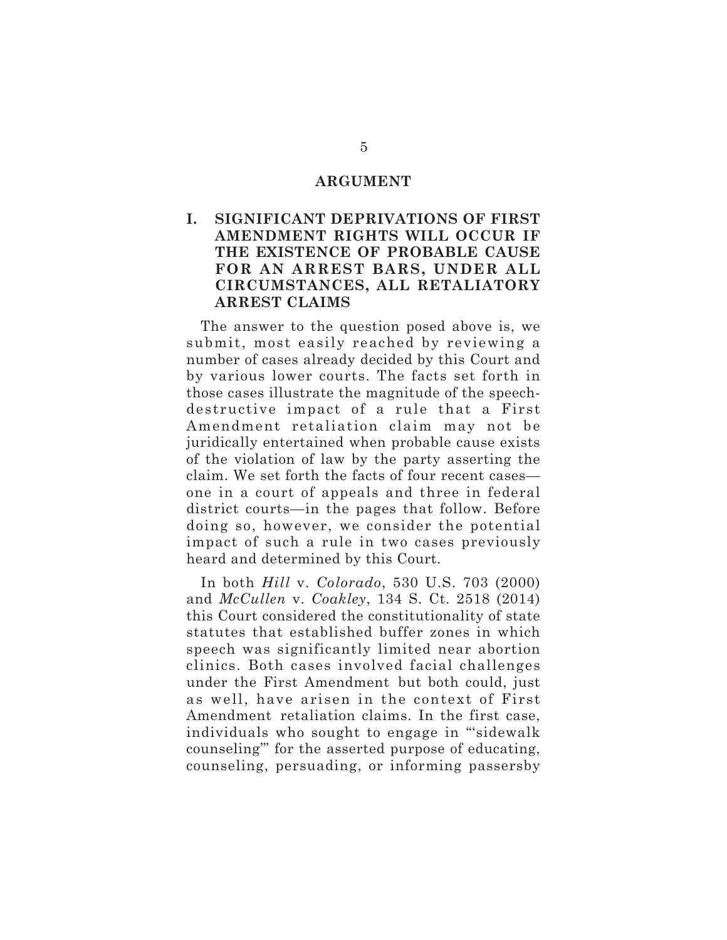#### **ARGUMENT**

## **I. SIGNIFICANT DEPRIVATIONS OF FIRST AMENDMENT RIGHTS WILL OCCUR IF THE EXISTENCE OF PROBABLE CAUSE FOR AN ARREST BARS, UNDER ALL CIRCUMSTANCES, ALL RETALIATORY ARREST CLAIMS**

The answer to the question posed above is, we submit, most easily reached by reviewing a number of cases already decided by this Court and by various lower courts. The facts set forth in those cases illustrate the magnitude of the speechdestructive impact of a rule that a First Amendment retaliation claim may not be juridically entertained when probable cause exists of the violation of law by the party asserting the claim. We set forth the facts of four recent cases one in a court of appeals and three in federal district courts—in the pages that follow. Before doing so, however, we consider the potential impact of such a rule in two cases previously heard and determined by this Court.

In both *Hill* v. *Colorado*, 530 U.S. 703 (2000) and *McCullen* v. *Coakley*, 134 S. Ct. 2518 (2014) this Court considered the constitutionality of state statutes that established buffer zones in which speech was significantly limited near abortion clinics. Both cases involved facial challenges under the First Amendment but both could, just as well, have arisen in the context of First Amendment retaliation claims. In the first case, individuals who sought to engage in "'sidewalk counseling'" for the asserted purpose of educating, counseling, persuading, or informing passersby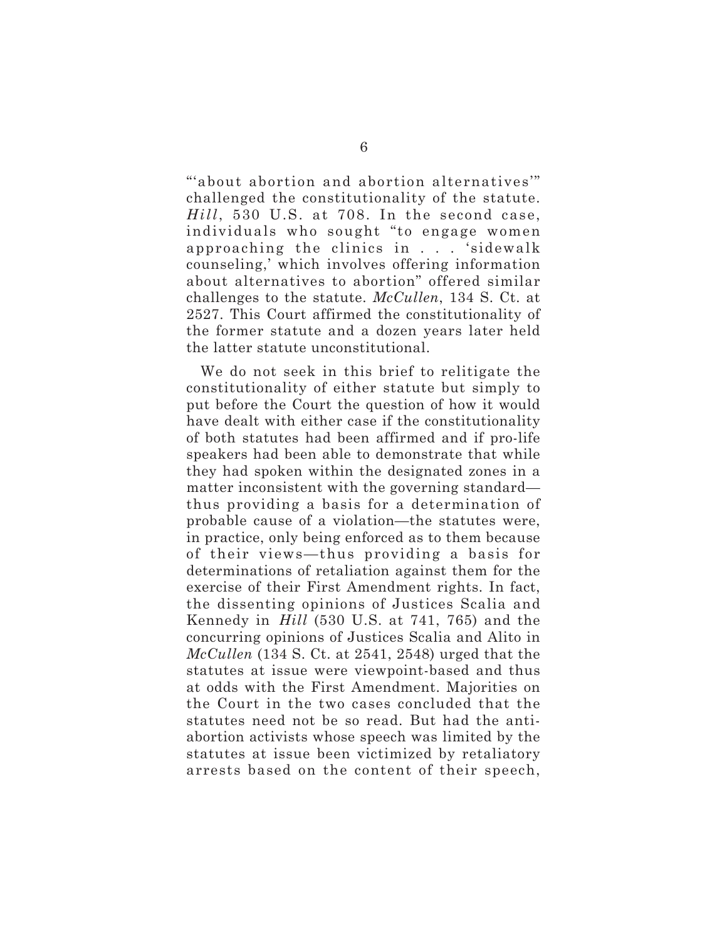"'about abortion and abortion alternatives'" challenged the constitutionality of the statute. *Hill*, 530 U.S. at 708. In the second case, individuals who sought "to engage women approaching the clinics in . . . 'sidewalk counseling,' which involves offering information about alternatives to abortion" offered similar challenges to the statute. *McCullen*, 134 S. Ct. at 2527. This Court affirmed the constitutionality of the former statute and a dozen years later held the latter statute unconstitutional.

We do not seek in this brief to relitigate the constitutionality of either statute but simply to put before the Court the question of how it would have dealt with either case if the constitutionality of both statutes had been affirmed and if pro-life speakers had been able to demonstrate that while they had spoken within the designated zones in a matter inconsistent with the governing standard thus providing a basis for a determination of probable cause of a violation—the statutes were, in practice, only being enforced as to them because of their views—thus providing a basis for determinations of retaliation against them for the exercise of their First Amendment rights. In fact, the dissenting opinions of Justices Scalia and Kennedy in *Hill* (530 U.S. at 741, 765) and the concurring opinions of Justices Scalia and Alito in *McCullen* (134 S. Ct. at 2541, 2548) urged that the statutes at issue were viewpoint-based and thus at odds with the First Amendment. Majorities on the Court in the two cases concluded that the statutes need not be so read. But had the antiabortion activists whose speech was limited by the statutes at issue been victimized by retaliatory arrests based on the content of their speech,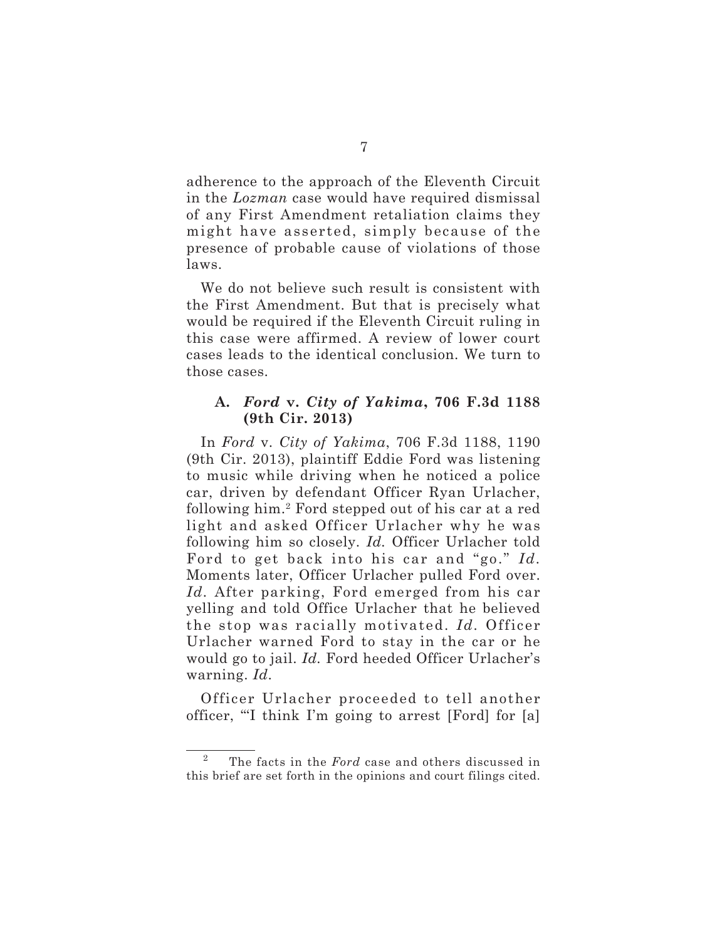adherence to the approach of the Eleventh Circuit in the *Lozman* case would have required dismissal of any First Amendment retaliation claims they might have asserted, simply because of the presence of probable cause of violations of those laws.

We do not believe such result is consistent with the First Amendment. But that is precisely what would be required if the Eleventh Circuit ruling in this case were affirmed. A review of lower court cases leads to the identical conclusion. We turn to those cases.

## **A.** *Ford* **v.** *City of Yakima***, 706 F.3d 1188 (9th Cir. 2013)**

In *Ford* v. *City of Yakima*, 706 F.3d 1188, 1190 (9th Cir. 2013), plaintiff Eddie Ford was listening to music while driving when he noticed a police car, driven by defendant Officer Ryan Urlacher, following him.2 Ford stepped out of his car at a red light and asked Officer Urlacher why he was following him so closely. *Id.* Officer Urlacher told Ford to get back into his car and "go." *Id.* Moments later, Officer Urlacher pulled Ford over. *Id.* After parking, Ford emerged from his car yelling and told Office Urlacher that he believed the stop was racially motivated. *Id.* Officer Urlacher warned Ford to stay in the car or he would go to jail. *Id.* Ford heeded Officer Urlacher's warning. *Id*.

Officer Urlacher proceeded to tell another officer, "'I think I'm going to arrest [Ford] for [a]

<sup>2</sup> The facts in the *Ford* case and others discussed in this brief are set forth in the opinions and court filings cited.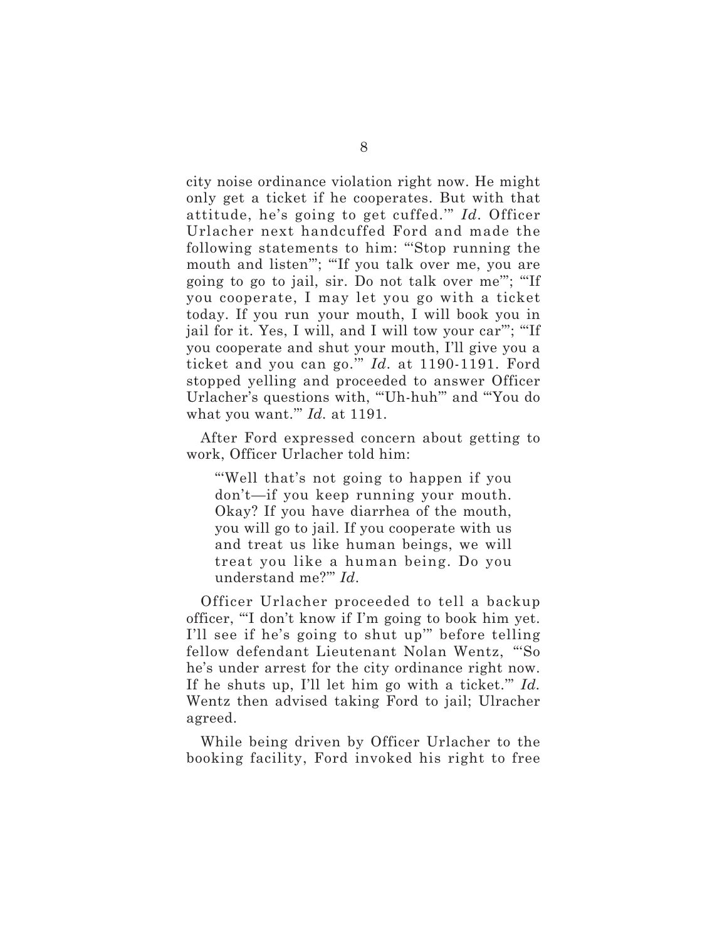city noise ordinance violation right now. He might only get a ticket if he cooperates. But with that attitude, he's going to get cuffed.'" *Id.* Officer Urlacher next handcuffed Ford and made the following statements to him: "'Stop running the mouth and listen'"; "'If you talk over me, you are going to go to jail, sir. Do not talk over me'"; "'If you cooperate, I may let you go with a ticket today. If you run your mouth, I will book you in jail for it. Yes, I will, and I will tow your car'"; "'If you cooperate and shut your mouth, I'll give you a ticket and you can go.'" *Id.* at 1190-1191. Ford stopped yelling and proceeded to answer Officer Urlacher's questions with, "'Uh-huh'" and "'You do what you want.'" *Id.* at 1191.

After Ford expressed concern about getting to work, Officer Urlacher told him:

"'Well that's not going to happen if you don't—if you keep running your mouth. Okay? If you have diarrhea of the mouth, you will go to jail. If you cooperate with us and treat us like human beings, we will treat you like a human being. Do you understand me?'" *Id*.

Officer Urlacher proceeded to tell a backup officer, "'I don't know if I'm going to book him yet. I'll see if he's going to shut up'" before telling fellow defendant Lieutenant Nolan Wentz, "'So he's under arrest for the city ordinance right now. If he shuts up, I'll let him go with a ticket.'" *Id.* Wentz then advised taking Ford to jail; Ulracher agreed.

While being driven by Officer Urlacher to the booking facility, Ford invoked his right to free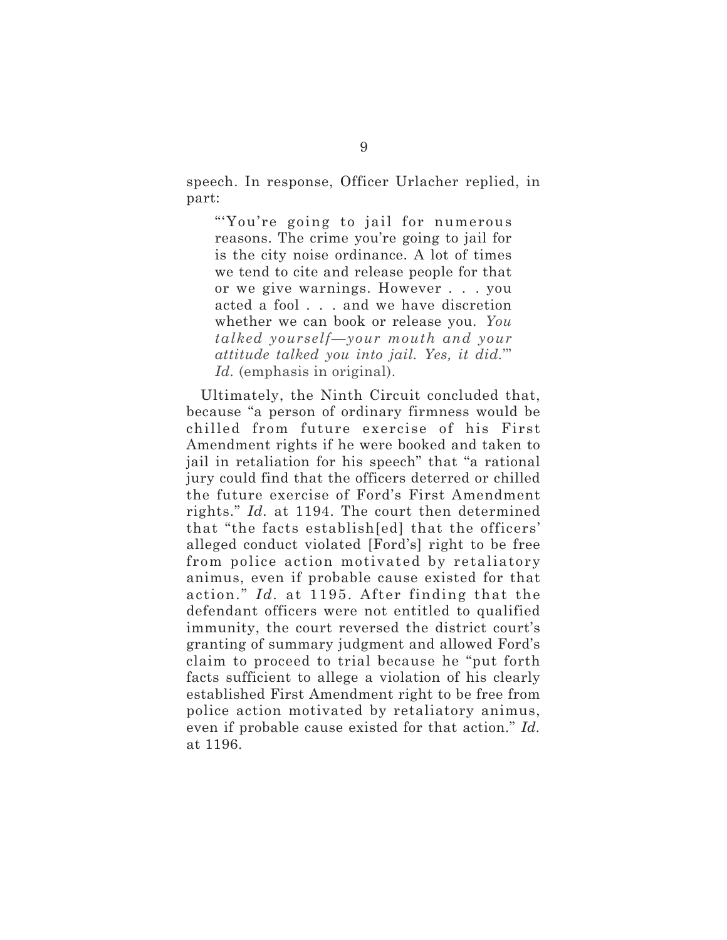speech. In response, Officer Urlacher replied, in part:

"'You're going to jail for numerous reasons. The crime you're going to jail for is the city noise ordinance. A lot of times we tend to cite and release people for that or we give warnings. However . . . you acted a fool . . . and we have discretion whether we can book or release you. *You talked yourself—your mouth and your attitude talked you into jail. Yes, it did.*'" *Id.* (emphasis in original).

Ultimately, the Ninth Circuit concluded that, because "a person of ordinary firmness would be chilled from future exercise of his First Amendment rights if he were booked and taken to jail in retaliation for his speech" that "a rational jury could find that the officers deterred or chilled the future exercise of Ford's First Amendment rights." *Id.* at 1194. The court then determined that "the facts establish[ed] that the officers' alleged conduct violated [Ford's] right to be free from police action motivated by retaliatory animus, even if probable cause existed for that action." *Id.* at 1195. After finding that the defendant officers were not entitled to qualified immunity, the court reversed the district court's granting of summary judgment and allowed Ford's claim to proceed to trial because he "put forth facts sufficient to allege a violation of his clearly established First Amendment right to be free from police action motivated by retaliatory animus, even if probable cause existed for that action." *Id.* at 1196.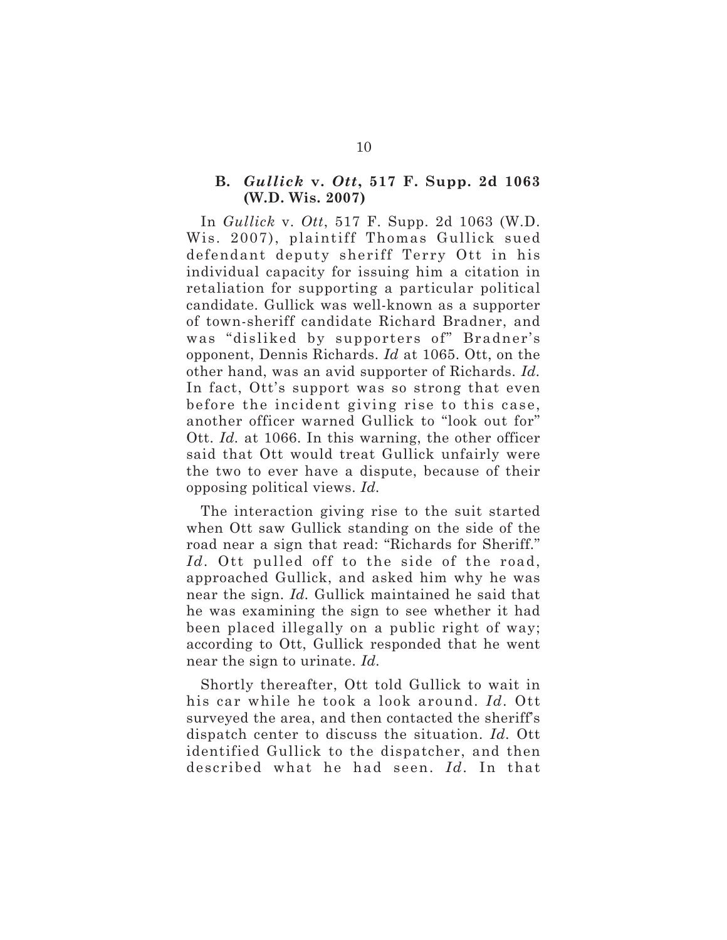#### **B.** *Gullick* **v.** *Ott***, 517 F. Supp. 2d 1063 (W.D. Wis. 2007)**

In *Gullick* v. *Ott*, 517 F. Supp. 2d 1063 (W.D. Wis. 2007), plaintiff Thomas Gullick sued defendant deputy sheriff Terry Ott in his individual capacity for issuing him a citation in retaliation for supporting a particular political candidate. Gullick was well-known as a supporter of town-sheriff candidate Richard Bradner, and was "disliked by supporters of" Bradner's opponent, Dennis Richards. *Id* at 1065. Ott, on the other hand, was an avid supporter of Richards. *Id.* In fact, Ott's support was so strong that even before the incident giving rise to this case, another officer warned Gullick to "look out for" Ott. *Id.* at 1066. In this warning, the other officer said that Ott would treat Gullick unfairly were the two to ever have a dispute, because of their opposing political views. *Id.*

The interaction giving rise to the suit started when Ott saw Gullick standing on the side of the road near a sign that read: "Richards for Sheriff." Id. Ott pulled off to the side of the road, approached Gullick, and asked him why he was near the sign. *Id.* Gullick maintained he said that he was examining the sign to see whether it had been placed illegally on a public right of way; according to Ott, Gullick responded that he went near the sign to urinate. *Id.*

Shortly thereafter, Ott told Gullick to wait in his car while he took a look around. *Id.* Ott surveyed the area, and then contacted the sheriff's dispatch center to discuss the situation. *Id.* Ott identified Gullick to the dispatcher, and then described what he had seen. *Id.* In that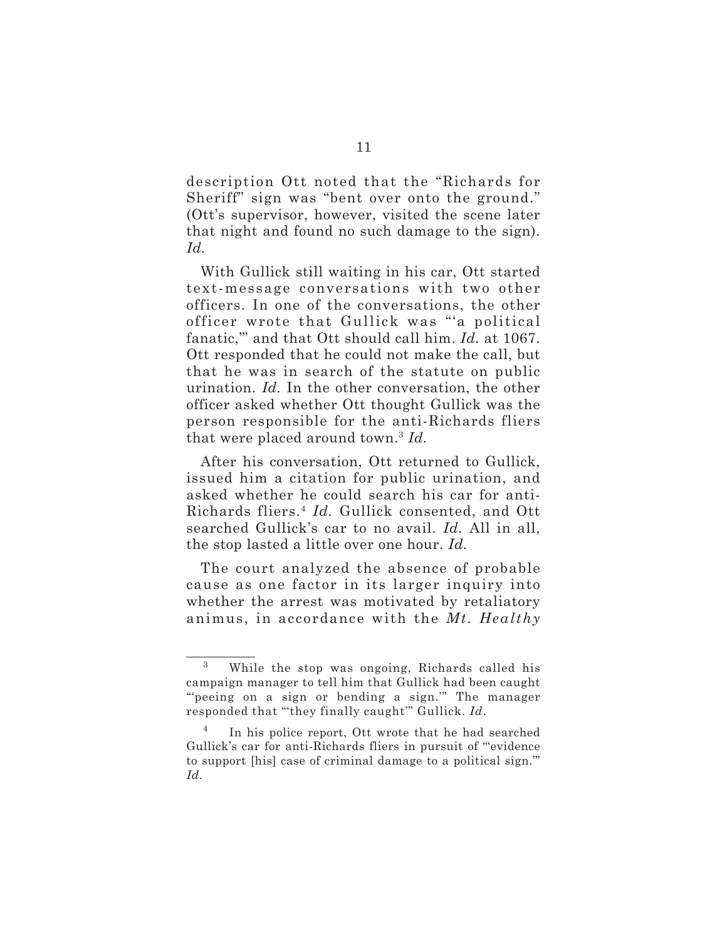description Ott noted that the "Richards for Sheriff" sign was "bent over onto the ground." (Ott's supervisor, however, visited the scene later that night and found no such damage to the sign). *Id.*

With Gullick still waiting in his car, Ott started text-message conversations with two other officers. In one of the conversations, the other officer wrote that Gullick was "'a political fanatic,'" and that Ott should call him. *Id.* at 1067. Ott responded that he could not make the call, but that he was in search of the statute on public urination. *Id.* In the other conversation, the other officer asked whether Ott thought Gullick was the person responsible for the anti-Richards fliers that were placed around town.3 *Id.*

After his conversation, Ott returned to Gullick, issued him a citation for public urination, and asked whether he could search his car for anti-Richards fliers.4 *Id.* Gullick consented, and Ott searched Gullick's car to no avail. *Id.* All in all, the stop lasted a little over one hour. *Id.*

The court analyzed the absence of probable cause as one factor in its larger inquiry into whether the arrest was motivated by retaliatory animus, in accordance with the *Mt. Healthy*

<sup>3</sup> While the stop was ongoing, Richards called his campaign manager to tell him that Gullick had been caught "peeing on a sign or bending a sign." The manager responded that "'they finally caught'" Gullick. *Id*.

<sup>&</sup>lt;sup>4</sup> In his police report, Ott wrote that he had searched Gullick's car for anti-Richards fliers in pursuit of "'evidence to support [his] case of criminal damage to a political sign.'" *Id*.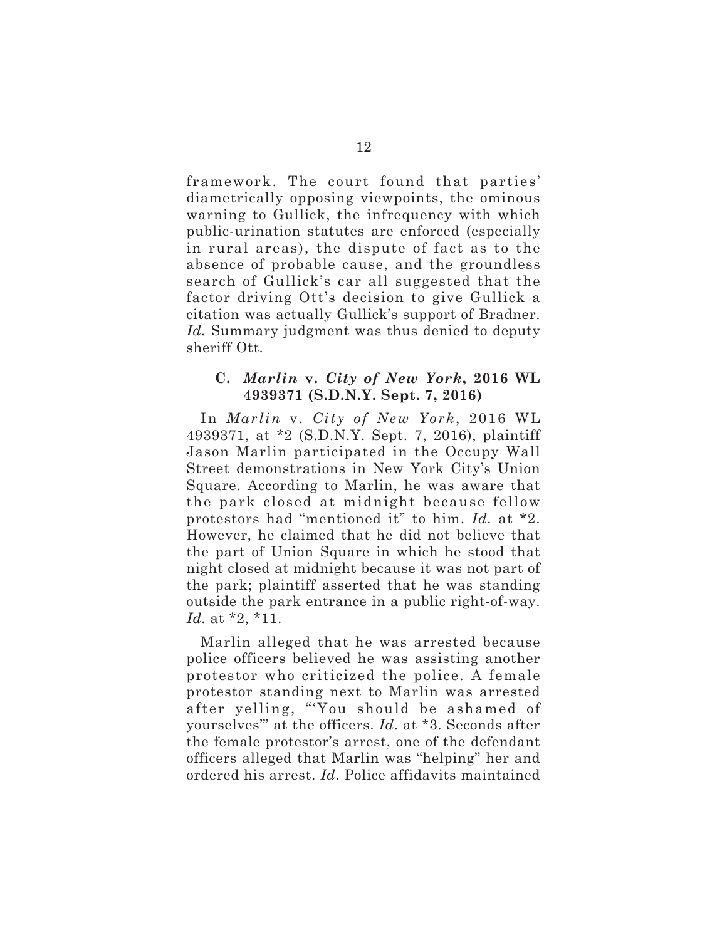framework. The court found that parties' diametrically opposing viewpoints, the ominous warning to Gullick, the infrequency with which public-urination statutes are enforced (especially in rural areas), the dispute of fact as to the absence of probable cause, and the groundless search of Gullick's car all suggested that the factor driving Ott's decision to give Gullick a citation was actually Gullick's support of Bradner. *Id.* Summary judgment was thus denied to deputy sheriff Ott*.*

#### **C.** *Marlin* **v.** *City of New York***, 2016 WL 4939371 (S.D.N.Y. Sept. 7, 2016)**

In *Marlin* v. *City of New York*, 2016 WL 4939371, at \*2 (S.D.N.Y. Sept. 7, 2016), plaintiff Jason Marlin participated in the Occupy Wall Street demonstrations in New York City's Union Square. According to Marlin, he was aware that the park closed at midnight because fellow protestors had "mentioned it" to him. *Id.* at \*2. However, he claimed that he did not believe that the part of Union Square in which he stood that night closed at midnight because it was not part of the park; plaintiff asserted that he was standing outside the park entrance in a public right-of-way. *Id.* at \*2, \*11.

Marlin alleged that he was arrested because police officers believed he was assisting another protestor who criticized the police. A female protestor standing next to Marlin was arrested after yelling, "'You should be ashamed of yourselves'" at the officers. *Id*. at \*3. Seconds after the female protestor's arrest, one of the defendant officers alleged that Marlin was "helping" her and ordered his arrest. *Id*. Police affidavits maintained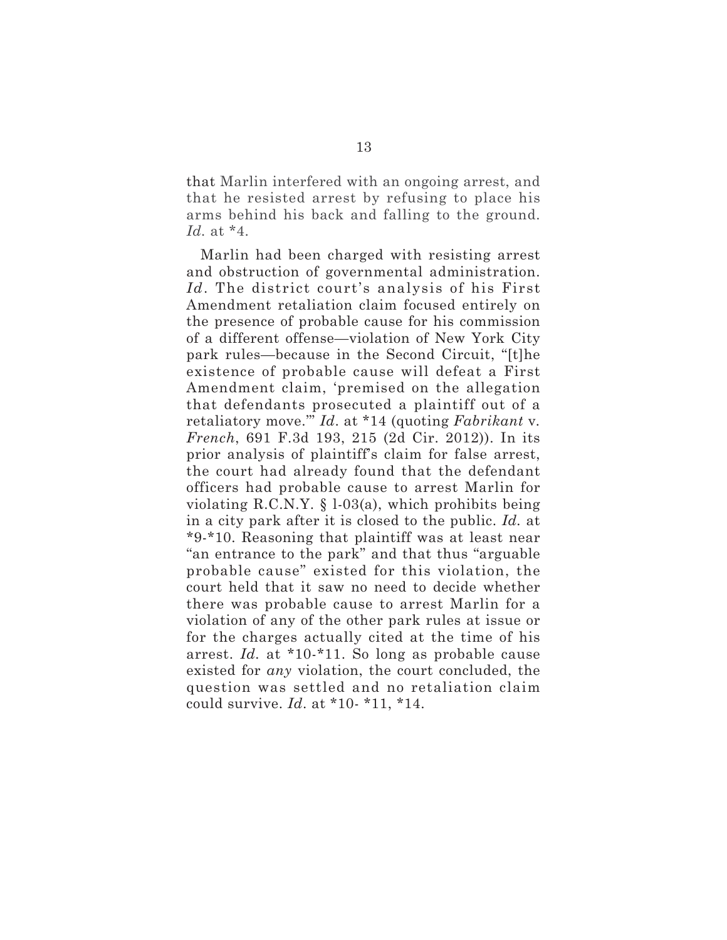that Marlin interfered with an ongoing arrest, and that he resisted arrest by refusing to place his arms behind his back and falling to the ground. *Id.* at \*4.

Marlin had been charged with resisting arrest and obstruction of governmental administration. *Id*. The district court's analysis of his First Amendment retaliation claim focused entirely on the presence of probable cause for his commission of a different offense—violation of New York City park rules—because in the Second Circuit, "[t]he existence of probable cause will defeat a First Amendment claim, 'premised on the allegation that defendants prosecuted a plaintiff out of a retaliatory move.'" *Id*. at \*14 (quoting *Fabrikant* v*. French*, 691 F.3d 193, 215 (2d Cir. 2012)). In its prior analysis of plaintiff's claim for false arrest, the court had already found that the defendant officers had probable cause to arrest Marlin for violating R.C.N.Y. § l-03(a), which prohibits being in a city park after it is closed to the public. *Id.* at \*9-\*10. Reasoning that plaintiff was at least near "an entrance to the park" and that thus "arguable probable cause" existed for this violation, the court held that it saw no need to decide whether there was probable cause to arrest Marlin for a violation of any of the other park rules at issue or for the charges actually cited at the time of his arrest. *Id.* at \*10-\*11. So long as probable cause existed for *any* violation, the court concluded, the question was settled and no retaliation claim could survive. *Id*. at \*10- \*11, \*14.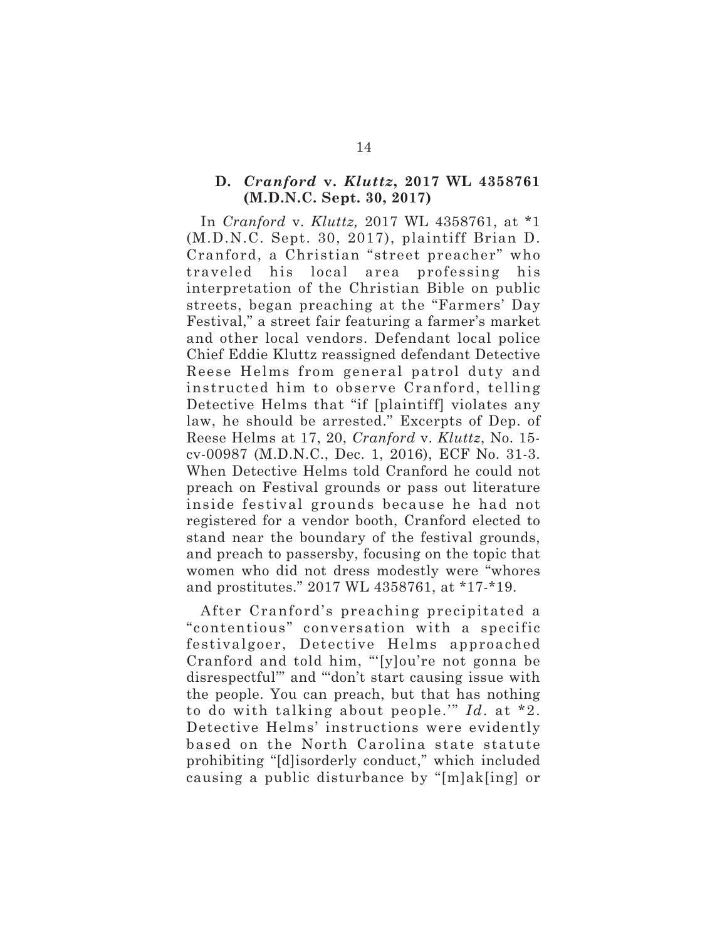#### **D.** *Cranford* **v.** *Kluttz***, 2017 WL 4358761 (M.D.N.C. Sept. 30, 2017)**

In *Cranford* v. *Kluttz,* 2017 WL 4358761, at \*1 (M.D.N.C. Sept. 30, 2017), plaintiff Brian D. Cranford, a Christian "street preacher" who traveled his local area professing his interpretation of the Christian Bible on public streets, began preaching at the "Farmers' Day Festival," a street fair featuring a farmer's market and other local vendors. Defendant local police Chief Eddie Kluttz reassigned defendant Detective Reese Helms from general patrol duty and instructed him to observe Cranford, telling Detective Helms that "if [plaintiff] violates any law, he should be arrested." Excerpts of Dep. of Reese Helms at 17, 20, *Cranford* v. *Kluttz*, No. 15 cv-00987 (M.D.N.C., Dec. 1, 2016), ECF No. 31-3. When Detective Helms told Cranford he could not preach on Festival grounds or pass out literature inside festival grounds because he had not registered for a vendor booth, Cranford elected to stand near the boundary of the festival grounds, and preach to passersby, focusing on the topic that women who did not dress modestly were "whores and prostitutes." 2017 WL 4358761, at \*17-\*19.

After Cranford's preaching precipitated a "contentious" conversation with a specific festivalgoer, Detective Helms approached Cranford and told him, "'[y]ou're not gonna be disrespectful'" and "'don't start causing issue with the people. You can preach, but that has nothing to do with talking about people.'" *Id*. at \*2. Detective Helms' instructions were evidently based on the North Carolina state statute prohibiting "[d]isorderly conduct," which included causing a public disturbance by "[m]ak[ing] or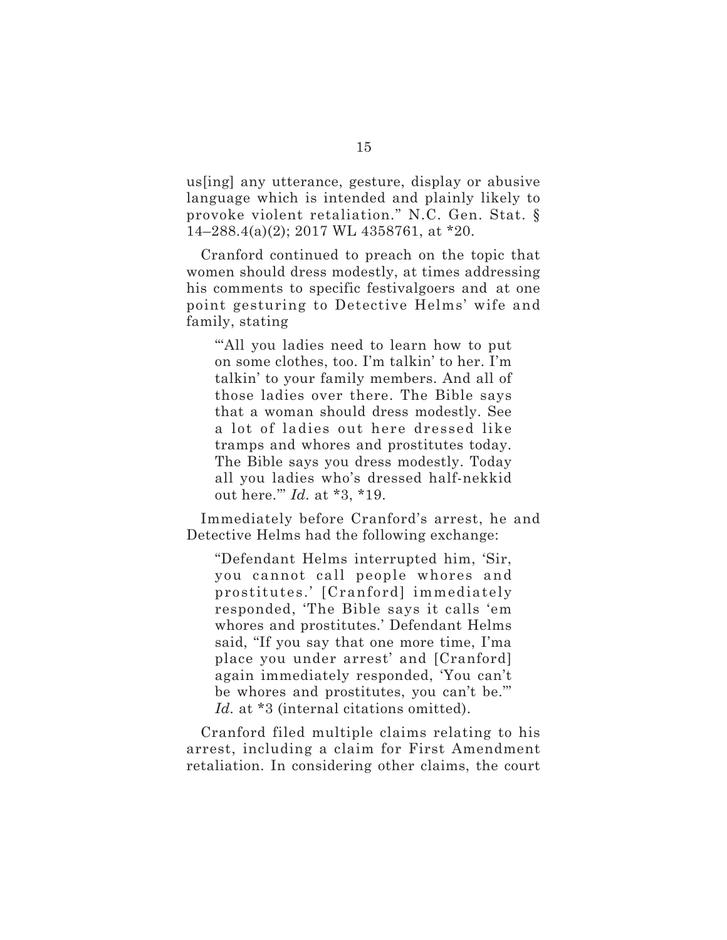us[ing] any utterance, gesture, display or abusive language which is intended and plainly likely to provoke violent retaliation." N.C. Gen. Stat. § 14–288.4(a)(2); 2017 WL 4358761, at \*20.

Cranford continued to preach on the topic that women should dress modestly, at times addressing his comments to specific festivalgoers and at one point gesturing to Detective Helms' wife and family, stating

"'All you ladies need to learn how to put on some clothes, too. I'm talkin' to her. I'm talkin' to your family members. And all of those ladies over there. The Bible says that a woman should dress modestly. See a lot of ladies out here dressed like tramps and whores and prostitutes today. The Bible says you dress modestly. Today all you ladies who's dressed half-nekkid out here.'" *Id.* at \*3, \*19.

Immediately before Cranford's arrest, he and Detective Helms had the following exchange:

"Defendant Helms interrupted him, 'Sir, you cannot call people whores and prostitutes.' [Cranford] immediately responded, 'The Bible says it calls 'em whores and prostitutes.' Defendant Helms said, "If you say that one more time, I'ma place you under arrest' and [Cranford] again immediately responded, 'You can't be whores and prostitutes, you can't be.'" Id. at \*3 (internal citations omitted).

Cranford filed multiple claims relating to his arrest, including a claim for First Amendment retaliation. In considering other claims, the court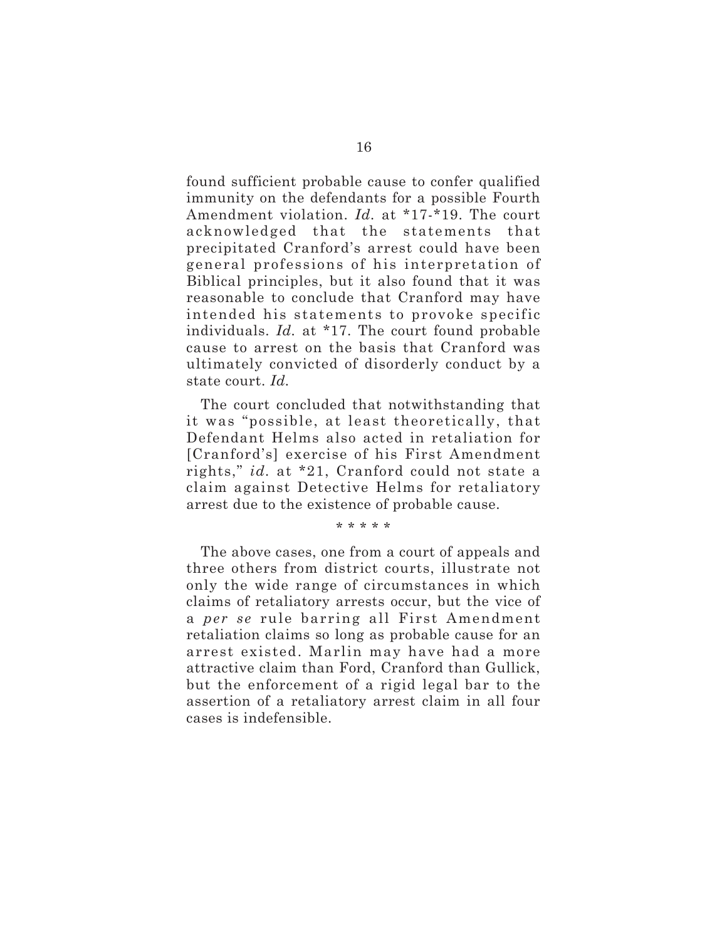found sufficient probable cause to confer qualified immunity on the defendants for a possible Fourth Amendment violation. *Id.* at \*17-\*19. The court acknowledged that the statements that precipitated Cranford's arrest could have been general professions of his interpretation of Biblical principles, but it also found that it was reasonable to conclude that Cranford may have intended his statements to provoke specific individuals. *Id.* at \*17. The court found probable cause to arrest on the basis that Cranford was ultimately convicted of disorderly conduct by a state court. *Id.*

The court concluded that notwithstanding that it was "possible, at least theoretically, that Defendant Helms also acted in retaliation for [Cranford's] exercise of his First Amendment rights," *id.* at \*21, Cranford could not state a claim against Detective Helms for retaliatory arrest due to the existence of probable cause.

\* \* \* \* \*

The above cases, one from a court of appeals and three others from district courts, illustrate not only the wide range of circumstances in which claims of retaliatory arrests occur, but the vice of a *per se* rule barring all First Amendment retaliation claims so long as probable cause for an arrest existed. Marlin may have had a more attractive claim than Ford, Cranford than Gullick, but the enforcement of a rigid legal bar to the assertion of a retaliatory arrest claim in all four cases is indefensible.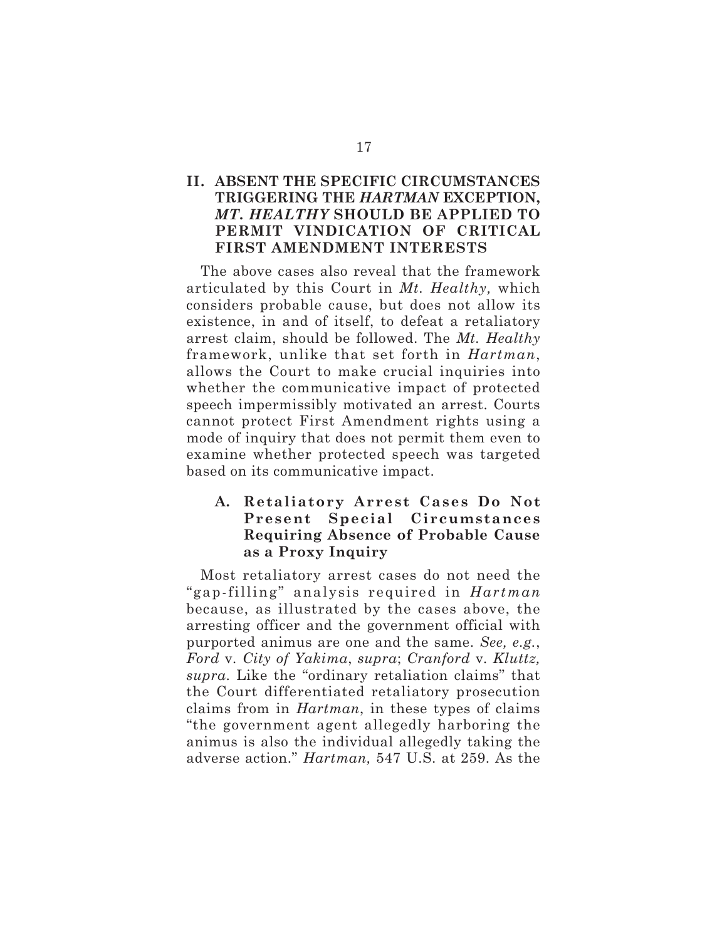# **II. ABSENT THE SPECIFIC CIRCUMSTANCES TRIGGERING THE** *HARTMAN* **EXCEPTION,** *MT. HEALTHY* **SHOULD BE APPLIED TO PERMIT VINDICATION OF CRITICAL FIRST AMENDMENT INTERESTS**

The above cases also reveal that the framework articulated by this Court in *Mt. Healthy,* which considers probable cause, but does not allow its existence, in and of itself, to defeat a retaliatory arrest claim, should be followed. The *Mt. Healthy* framework, unlike that set forth in *Hartman*, allows the Court to make crucial inquiries into whether the communicative impact of protected speech impermissibly motivated an arrest. Courts cannot protect First Amendment rights using a mode of inquiry that does not permit them even to examine whether protected speech was targeted based on its communicative impact.

# **A. Retaliatory Arrest Cases Do Not Present Special Circumstances Requiring Absence of Probable Cause as a Proxy Inquiry**

Most retaliatory arrest cases do not need the "gap-filling" analysis required in *Hartman* because, as illustrated by the cases above, the arresting officer and the government official with purported animus are one and the same. *See, e.g.*, *Ford* v*. City of Yakima*, *supra*; *Cranford* v*. Kluttz, supra*. Like the "ordinary retaliation claims" that the Court differentiated retaliatory prosecution claims from in *Hartman*, in these types of claims "the government agent allegedly harboring the animus is also the individual allegedly taking the adverse action." *Hartman,* 547 U.S. at 259. As the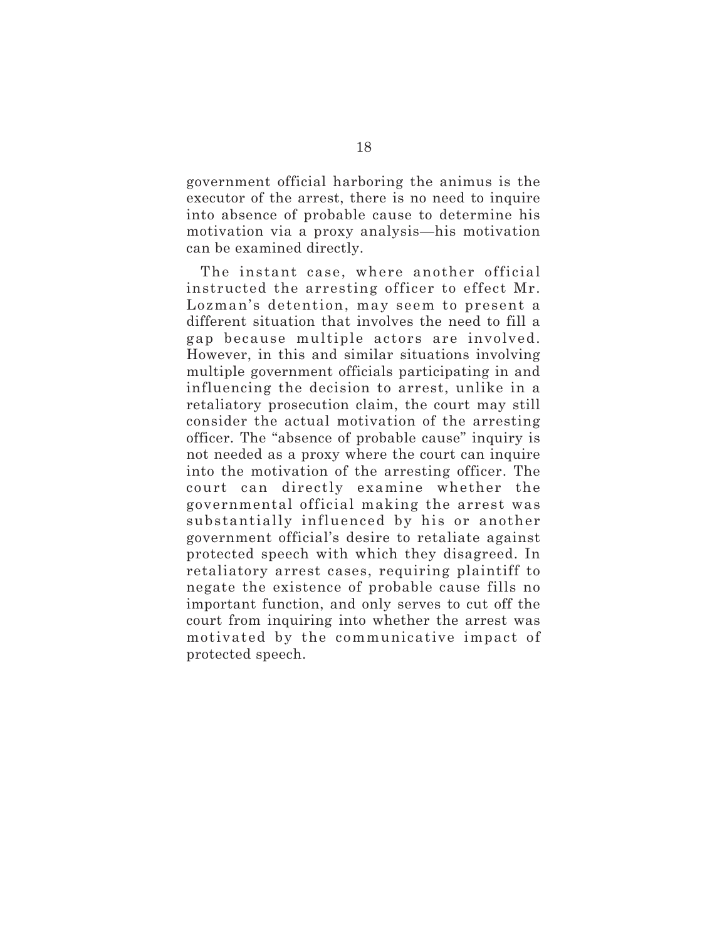government official harboring the animus is the executor of the arrest, there is no need to inquire into absence of probable cause to determine his motivation via a proxy analysis—his motivation can be examined directly.

The instant case, where another official instructed the arresting officer to effect Mr. Lozman's detention, may seem to present a different situation that involves the need to fill a gap because multiple actors are involved. However, in this and similar situations involving multiple government officials participating in and influencing the decision to arrest, unlike in a retaliatory prosecution claim, the court may still consider the actual motivation of the arresting officer. The "absence of probable cause" inquiry is not needed as a proxy where the court can inquire into the motivation of the arresting officer. The court can directly examine whether the governmental official making the arrest was substantially influenced by his or another government official's desire to retaliate against protected speech with which they disagreed. In retaliatory arrest cases, requiring plaintiff to negate the existence of probable cause fills no important function, and only serves to cut off the court from inquiring into whether the arrest was motivated by the communicative impact of protected speech.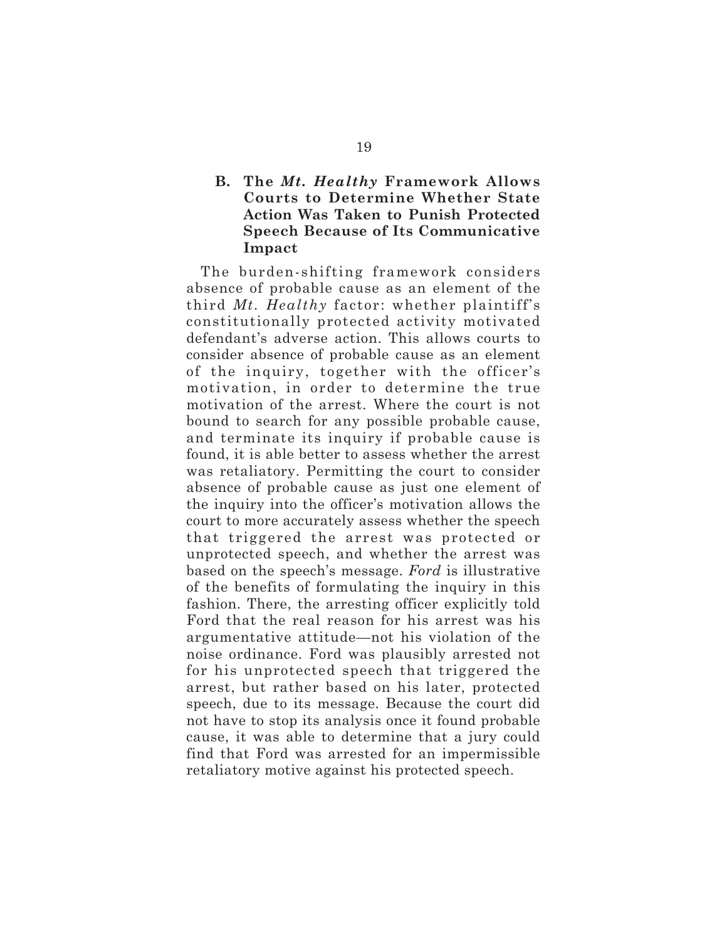## **B. The** *Mt. Healthy* **Framework Allows Courts to Determine Whether State Action Was Taken to Punish Protected Speech Because of Its Communicative Impact**

The burden-shifting framework considers absence of probable cause as an element of the third *Mt. Healthy* factor: whether plaintiff's constitutionally protected activity motivated defendant's adverse action. This allows courts to consider absence of probable cause as an element of the inquiry, together with the officer's motivation, in order to determine the true motivation of the arrest. Where the court is not bound to search for any possible probable cause, and terminate its inquiry if probable cause is found, it is able better to assess whether the arrest was retaliatory. Permitting the court to consider absence of probable cause as just one element of the inquiry into the officer's motivation allows the court to more accurately assess whether the speech that triggered the arrest was protected or unprotected speech, and whether the arrest was based on the speech's message. *Ford* is illustrative of the benefits of formulating the inquiry in this fashion. There, the arresting officer explicitly told Ford that the real reason for his arrest was his argumentative attitude—not his violation of the noise ordinance. Ford was plausibly arrested not for his unprotected speech that triggered the arrest, but rather based on his later, protected speech, due to its message. Because the court did not have to stop its analysis once it found probable cause, it was able to determine that a jury could find that Ford was arrested for an impermissible retaliatory motive against his protected speech.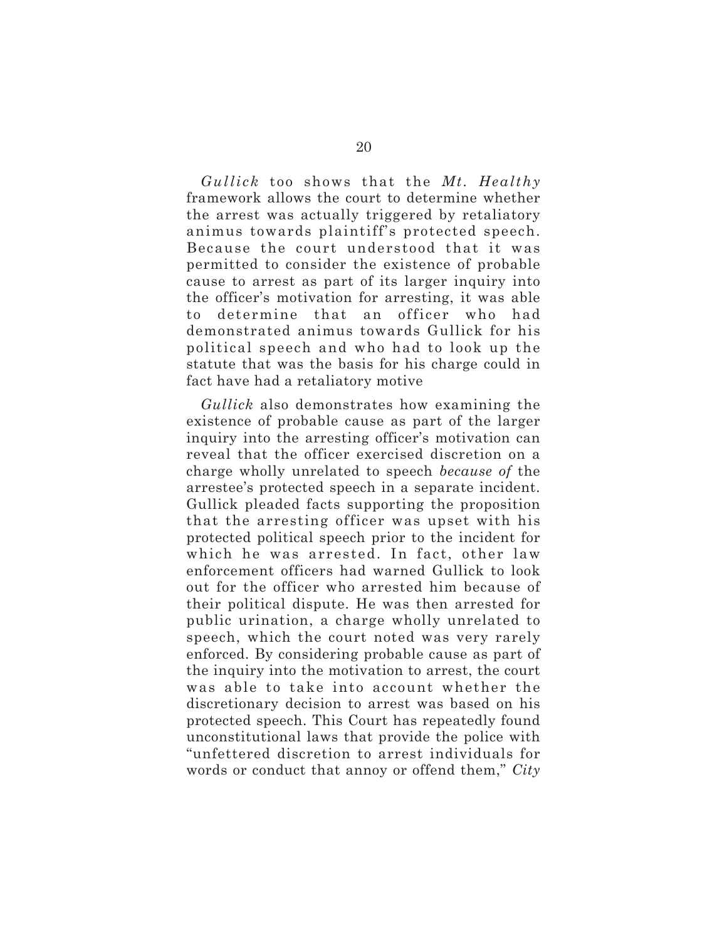*Gullick* too shows that the *Mt. Healthy* framework allows the court to determine whether the arrest was actually triggered by retaliatory animus towards plaintiff's protected speech. Because the court understood that it was permitted to consider the existence of probable cause to arrest as part of its larger inquiry into the officer's motivation for arresting, it was able to determine that an officer who had demonstrated animus towards Gullick for his political speech and who had to look up the statute that was the basis for his charge could in fact have had a retaliatory motive

*Gullick* also demonstrates how examining the existence of probable cause as part of the larger inquiry into the arresting officer's motivation can reveal that the officer exercised discretion on a charge wholly unrelated to speech *because of* the arrestee's protected speech in a separate incident. Gullick pleaded facts supporting the proposition that the arresting officer was upset with his protected political speech prior to the incident for which he was arrested. In fact, other law enforcement officers had warned Gullick to look out for the officer who arrested him because of their political dispute. He was then arrested for public urination, a charge wholly unrelated to speech, which the court noted was very rarely enforced. By considering probable cause as part of the inquiry into the motivation to arrest, the court was able to take into account whether the discretionary decision to arrest was based on his protected speech. This Court has repeatedly found unconstitutional laws that provide the police with "unfettered discretion to arrest individuals for words or conduct that annoy or offend them," *City*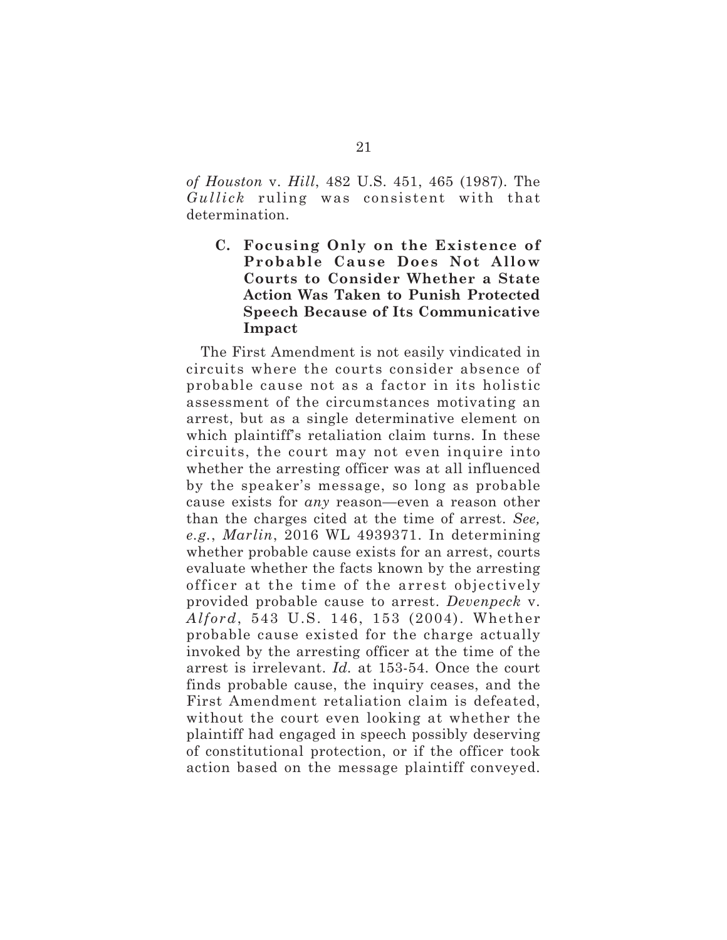*of Houston* v. *Hill*, 482 U.S. 451, 465 (1987). The *Gullick* ruling was consistent with that determination.

**C. Focusing Only on the Existence of Probable Cause Does Not Allow Courts to Consider Whether a State Action Was Taken to Punish Protected Speech Because of Its Communicative Impact**

The First Amendment is not easily vindicated in circuits where the courts consider absence of probable cause not as a factor in its holistic assessment of the circumstances motivating an arrest, but as a single determinative element on which plaintiff's retaliation claim turns. In these circuits, the court may not even inquire into whether the arresting officer was at all influenced by the speaker's message, so long as probable cause exists for *any* reason—even a reason other than the charges cited at the time of arrest. *See, e.g.*, *Marlin*, 2016 WL 4939371. In determining whether probable cause exists for an arrest, courts evaluate whether the facts known by the arresting officer at the time of the arrest objectively provided probable cause to arrest. *Devenpeck* v. *Alford*, 543 U.S. 146, 153 (2004). Whether probable cause existed for the charge actually invoked by the arresting officer at the time of the arrest is irrelevant. *Id.* at 153-54. Once the court finds probable cause, the inquiry ceases, and the First Amendment retaliation claim is defeated, without the court even looking at whether the plaintiff had engaged in speech possibly deserving of constitutional protection, or if the officer took action based on the message plaintiff conveyed.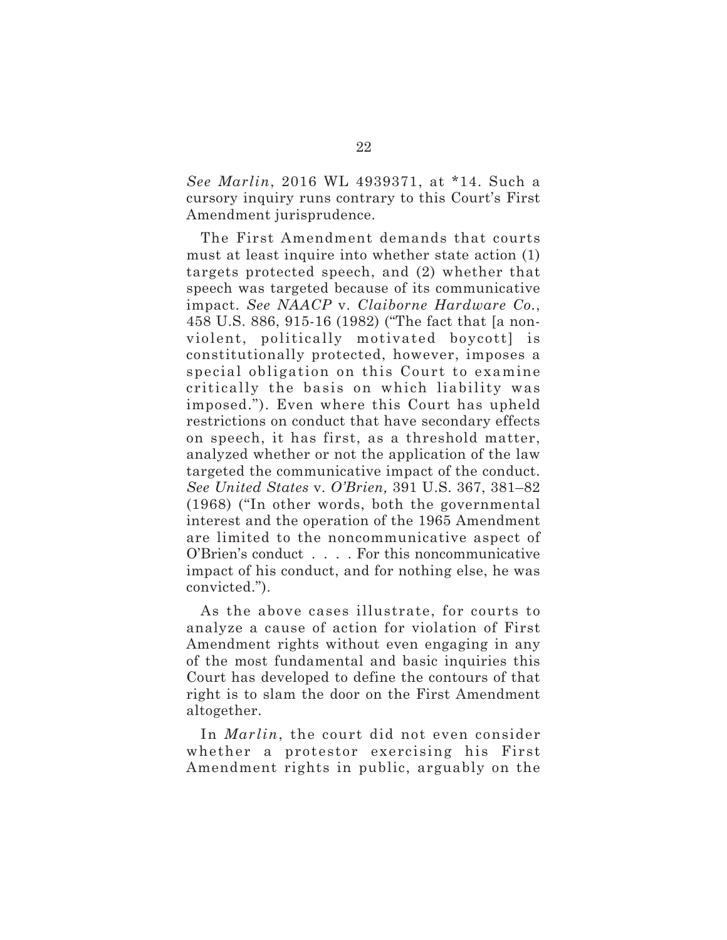*See Marlin*, 2016 WL 4939371, at \*14. Such a cursory inquiry runs contrary to this Court's First Amendment jurisprudence.

The First Amendment demands that courts must at least inquire into whether state action (1) targets protected speech, and (2) whether that speech was targeted because of its communicative impact. *See NAACP* v. *Claiborne Hardware Co.*, 458 U.S. 886, 915-16 (1982) ("The fact that [a nonviolent, politically motivated boycott] is constitutionally protected, however, imposes a special obligation on this Court to examine critically the basis on which liability was imposed."). Even where this Court has upheld restrictions on conduct that have secondary effects on speech, it has first, as a threshold matter, analyzed whether or not the application of the law targeted the communicative impact of the conduct. *See United States* v. *O'Brien,* 391 U.S. 367, 381–82 (1968) ("In other words, both the governmental interest and the operation of the 1965 Amendment are limited to the noncommunicative aspect of O'Brien's conduct . . . . For this noncommunicative impact of his conduct, and for nothing else, he was convicted.").

As the above cases illustrate, for courts to analyze a cause of action for violation of First Amendment rights without even engaging in any of the most fundamental and basic inquiries this Court has developed to define the contours of that right is to slam the door on the First Amendment altogether.

In *Marlin*, the court did not even consider whether a protestor exercising his First Amendment rights in public, arguably on the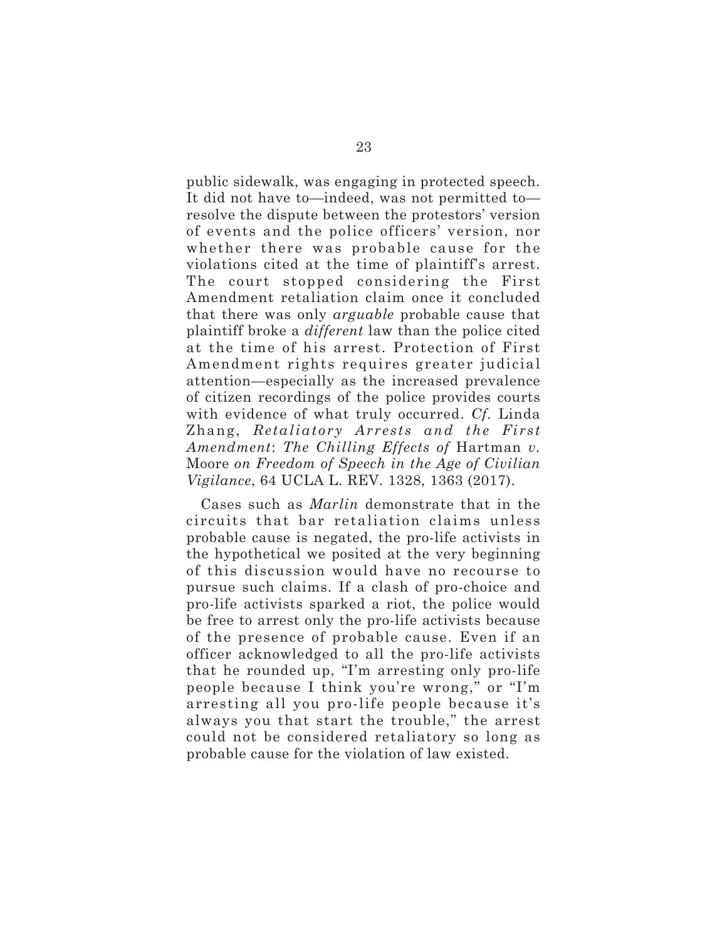public sidewalk, was engaging in protected speech. It did not have to—indeed, was not permitted to resolve the dispute between the protestors' version of events and the police officers' version, nor whether there was probable cause for the violations cited at the time of plaintiff's arrest. The court stopped considering the First Amendment retaliation claim once it concluded that there was only *arguable* probable cause that plaintiff broke a *different* law than the police cited at the time of his arrest. Protection of First Amendment rights requires greater judicial attention—especially as the increased prevalence of citizen recordings of the police provides courts with evidence of what truly occurred. *Cf.* Linda Zhang, *Retaliatory Arrests and the First Amendment*: *The Chilling Effects of* Hartman *v.* Moore *on Freedom of Speech in the Age of Civilian Vigilance*, 64 UCLA L. REV. 1328, 1363 (2017).

Cases such as *Marlin* demonstrate that in the circuits that bar retaliation claims unless probable cause is negated, the pro-life activists in the hypothetical we posited at the very beginning of this discussion would have no recourse to pursue such claims. If a clash of pro-choice and pro-life activists sparked a riot, the police would be free to arrest only the pro-life activists because of the presence of probable cause. Even if an officer acknowledged to all the pro-life activists that he rounded up, "I'm arresting only pro-life people because I think you're wrong," or "I'm arresting all you pro-life people because it's always you that start the trouble," the arrest could not be considered retaliatory so long as probable cause for the violation of law existed.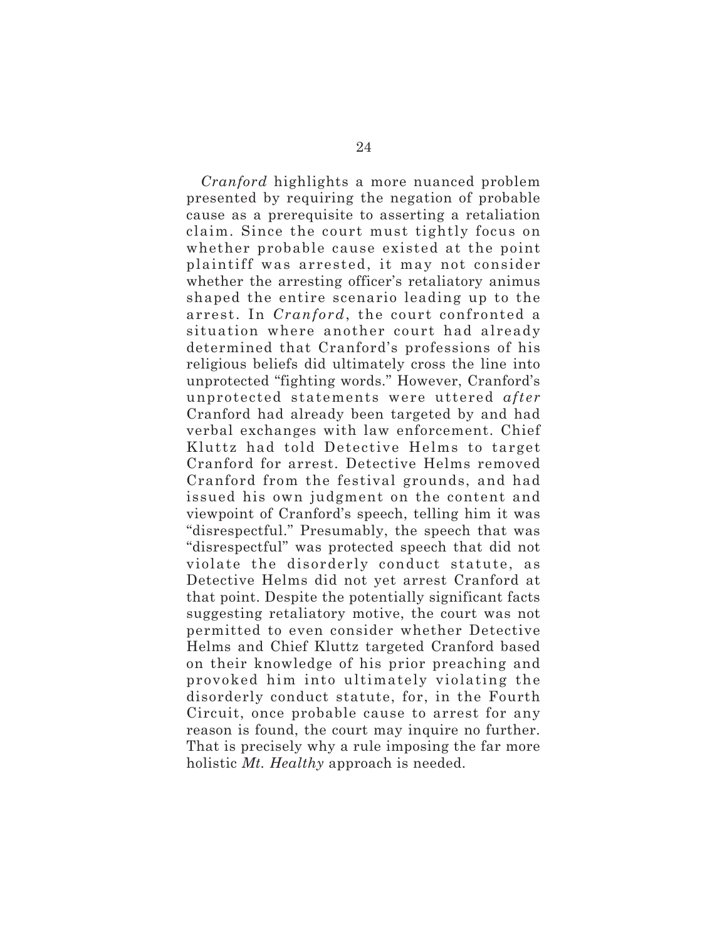*Cranford* highlights a more nuanced problem presented by requiring the negation of probable cause as a prerequisite to asserting a retaliation claim. Since the court must tightly focus on whether probable cause existed at the point plaintiff was arrested, it may not consider whether the arresting officer's retaliatory animus shaped the entire scenario leading up to the arrest. In *Cranford*, the court confronted a situation where another court had already determined that Cranford's professions of his religious beliefs did ultimately cross the line into unprotected "fighting words." However, Cranford's unprotected statements were uttered *after* Cranford had already been targeted by and had verbal exchanges with law enforcement. Chief Kluttz had told Detective Helms to target Cranford for arrest. Detective Helms removed Cranford from the festival grounds, and had issued his own judgment on the content and viewpoint of Cranford's speech, telling him it was "disrespectful." Presumably, the speech that was "disrespectful" was protected speech that did not violate the disorderly conduct statute, as Detective Helms did not yet arrest Cranford at that point. Despite the potentially significant facts suggesting retaliatory motive, the court was not permitted to even consider whether Detective Helms and Chief Kluttz targeted Cranford based on their knowledge of his prior preaching and provoked him into ultimately violating the disorderly conduct statute, for, in the Fourth Circuit, once probable cause to arrest for any reason is found, the court may inquire no further. That is precisely why a rule imposing the far more holistic *Mt. Healthy* approach is needed.